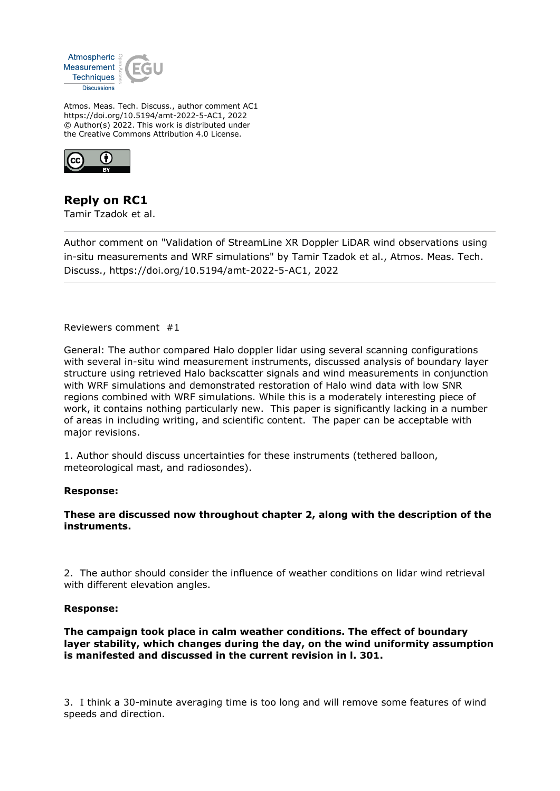

Atmos. Meas. Tech. Discuss., author comment AC1 https://doi.org/10.5194/amt-2022-5-AC1, 2022 © Author(s) 2022. This work is distributed under the Creative Commons Attribution 4.0 License.



# **Reply on RC1**

Tamir Tzadok et al.

Author comment on "Validation of StreamLine XR Doppler LiDAR wind observations using in-situ measurements and WRF simulations" by Tamir Tzadok et al., Atmos. Meas. Tech. Discuss., https://doi.org/10.5194/amt-2022-5-AC1, 2022

Reviewers comment #1

General: The author compared Halo doppler lidar using several scanning configurations with several in-situ wind measurement instruments, discussed analysis of boundary layer structure using retrieved Halo backscatter signals and wind measurements in conjunction with WRF simulations and demonstrated restoration of Halo wind data with low SNR regions combined with WRF simulations. While this is a moderately interesting piece of work, it contains nothing particularly new. This paper is significantly lacking in a number of areas in including writing, and scientific content. The paper can be acceptable with major revisions.

1. Author should discuss uncertainties for these instruments (tethered balloon, meteorological mast, and radiosondes).

## **Response:**

## **These are discussed now throughout chapter 2, along with the description of the instruments.**

2. The author should consider the influence of weather conditions on lidar wind retrieval with different elevation angles.

## **Response:**

**The campaign took place in calm weather conditions. The effect of boundary layer stability, which changes during the day, on the wind uniformity assumption is manifested and discussed in the current revision in l. 301.**

3. I think a 30-minute averaging time is too long and will remove some features of wind speeds and direction.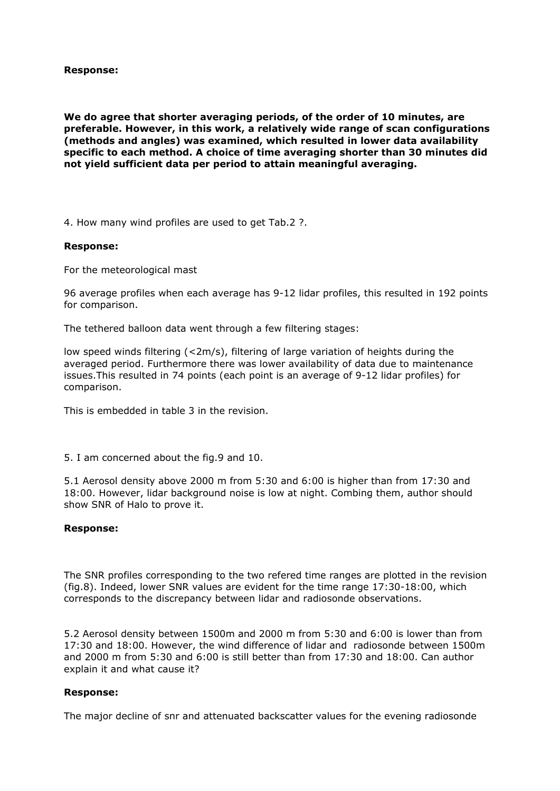**Response:** 

**We do agree that shorter averaging periods, of the order of 10 minutes, are preferable. However, in this work, a relatively wide range of scan configurations (methods and angles) was examined, which resulted in lower data availability specific to each method. A choice of time averaging shorter than 30 minutes did not yield sufficient data per period to attain meaningful averaging.** 

4. How many wind profiles are used to get Tab.2 ?.

#### **Response:**

For the meteorological mast

96 average profiles when each average has 9-12 lidar profiles, this resulted in 192 points for comparison.

The tethered balloon data went through a few filtering stages:

low speed winds filtering (<2m/s), filtering of large variation of heights during the averaged period. Furthermore there was lower availability of data due to maintenance issues.This resulted in 74 points (each point is an average of 9-12 lidar profiles) for comparison.

This is embedded in table 3 in the revision.

5. I am concerned about the fig.9 and 10.

5.1 Aerosol density above 2000 m from 5:30 and 6:00 is higher than from 17:30 and 18:00. However, lidar background noise is low at night. Combing them, author should show SNR of Halo to prove it.

#### **Response:**

The SNR profiles corresponding to the two refered time ranges are plotted in the revision (fig.8). Indeed, lower SNR values are evident for the time range 17:30-18:00, which corresponds to the discrepancy between lidar and radiosonde observations.

5.2 Aerosol density between 1500m and 2000 m from 5:30 and 6:00 is lower than from 17:30 and 18:00. However, the wind difference of lidar and radiosonde between 1500m and 2000 m from 5:30 and 6:00 is still better than from 17:30 and 18:00. Can author explain it and what cause it?

## **Response:**

The major decline of snr and attenuated backscatter values for the evening radiosonde